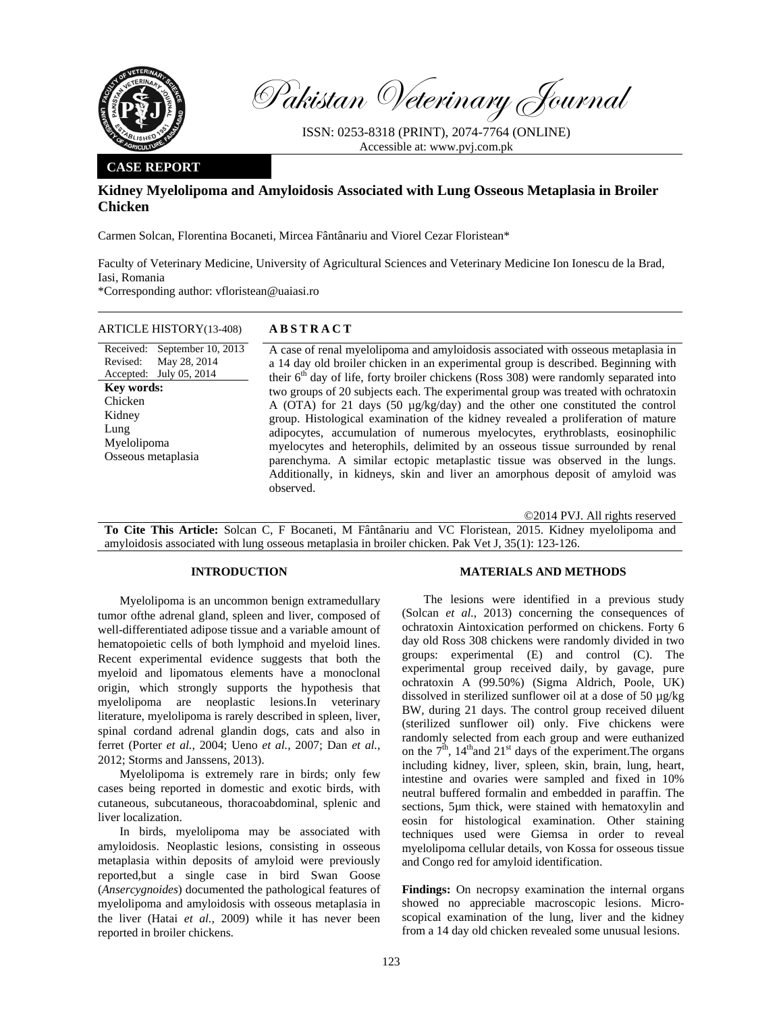

Pakistan Veterinary Journal

ISSN: 0253-8318 (PRINT), 2074-7764 (ONLINE) Accessible at: www.pvj.com.pk

## **CASE REPORT**

# **Kidney Myelolipoma and Amyloidosis Associated with Lung Osseous Metaplasia in Broiler Chicken**

Carmen Solcan, Florentina Bocaneti, Mircea Fântânariu and Viorel Cezar Floristean\*

Faculty of Veterinary Medicine, University of Agricultural Sciences and Veterinary Medicine Ion Ionescu de la Brad, Iasi, Romania

\*Corresponding author: vfloristean@uaiasi.ro

## ARTICLE HISTORY(13-408) **ABSTRACT**

Received: Revised: Accepted: July 05, 2014 September 10, 2013 May 28, 2014 **Key words:**  Chicken Kidney Lung Myelolipoma Osseous metaplasia

 A case of renal myelolipoma and amyloidosis associated with osseous metaplasia in a 14 day old broiler chicken in an experimental group is described. Beginning with their  $6<sup>th</sup>$  day of life, forty broiler chickens (Ross 308) were randomly separated into two groups of 20 subjects each. The experimental group was treated with ochratoxin A (OTA) for 21 days (50 µg/kg/day) and the other one constituted the control group. Histological examination of the kidney revealed a proliferation of mature adipocytes, accumulation of numerous myelocytes, erythroblasts, eosinophilic myelocytes and heterophils, delimited by an osseous tissue surrounded by renal parenchyma. A similar ectopic metaplastic tissue was observed in the lungs. Additionally, in kidneys, skin and liver an amorphous deposit of amyloid was observed.

©2014 PVJ. All rights reserved

**To Cite This Article:** Solcan C, F Bocaneti, M Fântânariu and VC Floristean, 2015. Kidney myelolipoma and amyloidosis associated with lung osseous metaplasia in broiler chicken. Pak Vet J, 35(1): 123-126.

## **INTRODUCTION**

Myelolipoma is an uncommon benign extramedullary tumor ofthe adrenal gland, spleen and liver, composed of well-differentiated adipose tissue and a variable amount of hematopoietic cells of both lymphoid and myeloid lines. Recent experimental evidence suggests that both the myeloid and lipomatous elements have a monoclonal origin, which strongly supports the hypothesis that myelolipoma are neoplastic lesions.In veterinary literature, myelolipoma is rarely described in spleen, liver, spinal cordand adrenal glandin dogs, cats and also in ferret (Porter *et al.*, 2004; Ueno *et al.*, 2007; Dan *et al.*, 2012; Storms and Janssens, 2013).

Myelolipoma is extremely rare in birds; only few cases being reported in domestic and exotic birds, with cutaneous, subcutaneous, thoracoabdominal, splenic and liver localization.

In birds, myelolipoma may be associated with amyloidosis. Neoplastic lesions, consisting in osseous metaplasia within deposits of amyloid were previously reported,but a single case in bird Swan Goose (*Ansercygnoides*) documented the pathological features of myelolipoma and amyloidosis with osseous metaplasia in the liver (Hatai *et al.*, 2009) while it has never been reported in broiler chickens.

#### **MATERIALS AND METHODS**

The lesions were identified in a previous study (Solcan *et al.*, 2013) concerning the consequences of ochratoxin Aintoxication performed on chickens. Forty 6 day old Ross 308 chickens were randomly divided in two groups: experimental (E) and control (C). The experimental group received daily, by gavage, pure ochratoxin A (99.50%) (Sigma Aldrich, Poole, UK) dissolved in sterilized sunflower oil at a dose of 50 µg/kg BW, during 21 days. The control group received diluent (sterilized sunflower oil) only. Five chickens were randomly selected from each group and were euthanized on the  $7<sup>th</sup>$ ,  $14<sup>th</sup>$  and  $21<sup>st</sup>$  days of the experiment. The organs including kidney, liver, spleen, skin, brain, lung, heart, intestine and ovaries were sampled and fixed in 10% neutral buffered formalin and embedded in paraffin. The sections, 5µm thick, were stained with hematoxylin and eosin for histological examination. Other staining techniques used were Giemsa in order to reveal myelolipoma cellular details, von Kossa for osseous tissue and Congo red for amyloid identification.

**Findings:** On necropsy examination the internal organs showed no appreciable macroscopic lesions. Microscopical examination of the lung, liver and the kidney from a 14 day old chicken revealed some unusual lesions.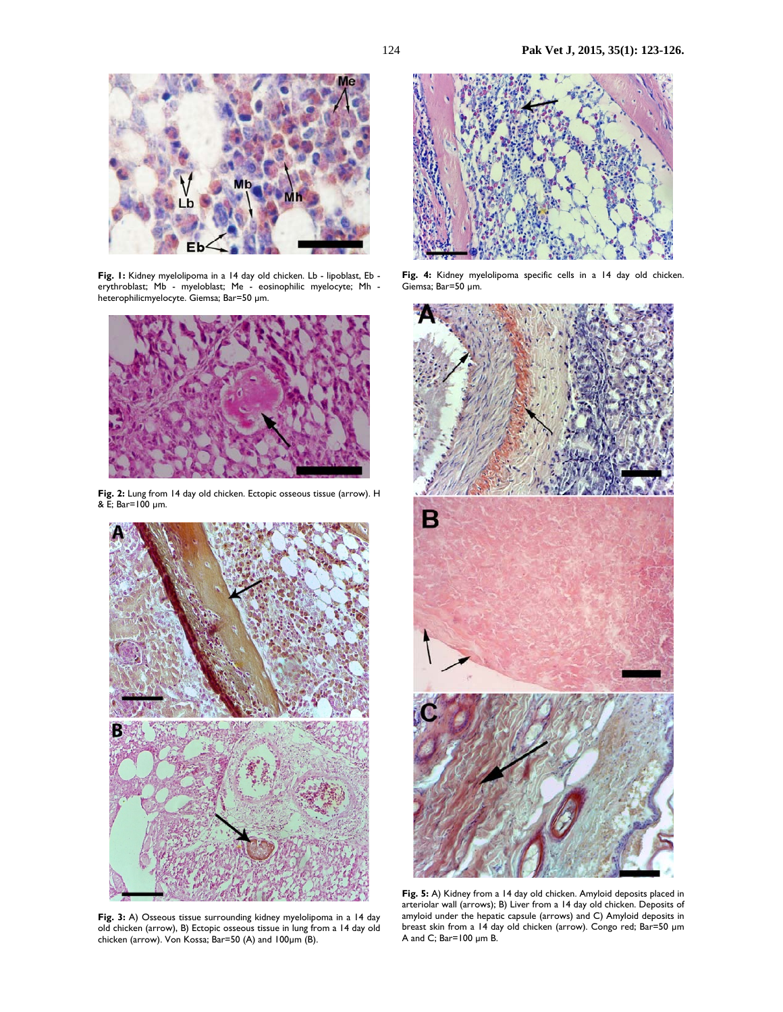

Fig. 1: Kidney myelolipoma in a 14 day old chicken. Lb - lipoblast, Eb erythroblast; Mb - myeloblast; Me - eosinophilic myelocyte; Mh heterophilicmyelocyte. Giemsa; Bar=50 µm.



**Fig. 2:** Lung from 14 day old chicken. Ectopic osseous tissue (arrow). H & E; Bar=100 µm.



**Fig. 3:** A) Osseous tissue surrounding kidney myelolipoma in a 14 day old chicken (arrow), B) Ectopic osseous tissue in lung from a 14 day old chicken (arrow). Von Kossa; Bar=50 (A) and 100µm (B).



**Fig. 4:** Kidney myelolipoma specific cells in a 14 day old chicken. Giemsa; Bar=50 µm.



**Fig. 5:** A) Kidney from a 14 day old chicken. Amyloid deposits placed in arteriolar wall (arrows); B) Liver from a 14 day old chicken. Deposits of amyloid under the hepatic capsule (arrows) and C) Amyloid deposits in breast skin from a 14 day old chicken (arrow). Congo red; Bar=50 µm A and C; Bar=100 µm B.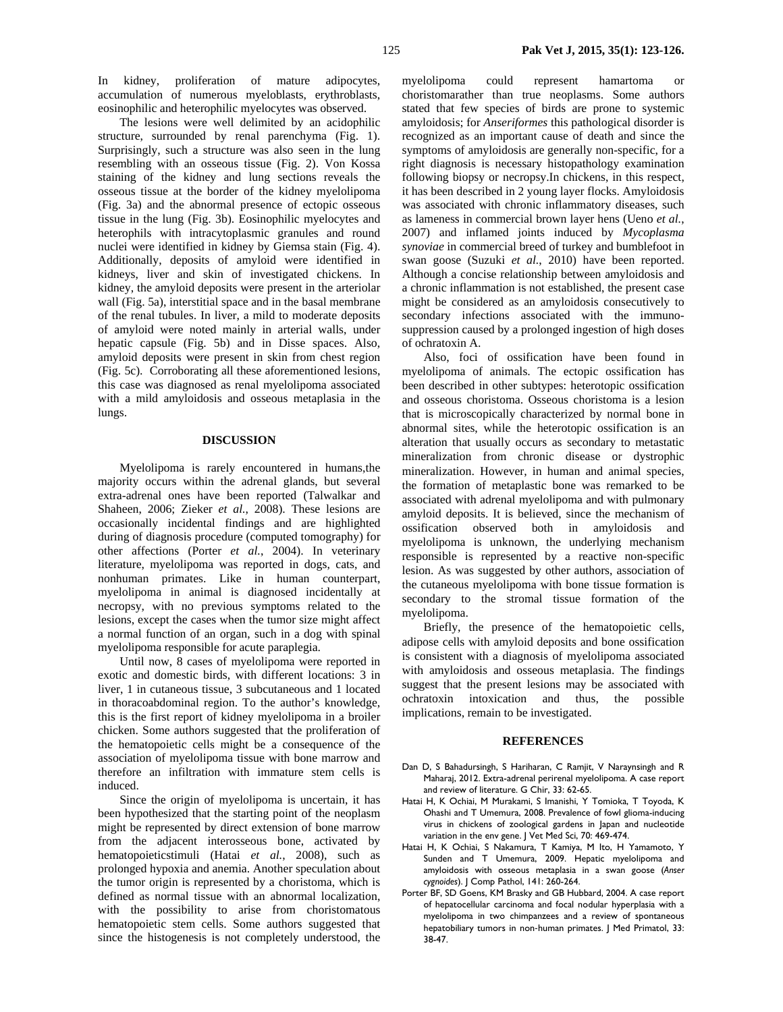In kidney, proliferation of mature adipocytes, accumulation of numerous myeloblasts, erythroblasts, eosinophilic and heterophilic myelocytes was observed.

The lesions were well delimited by an acidophilic structure, surrounded by renal parenchyma (Fig. 1). Surprisingly, such a structure was also seen in the lung resembling with an osseous tissue (Fig. 2). Von Kossa staining of the kidney and lung sections reveals the osseous tissue at the border of the kidney myelolipoma (Fig. 3a) and the abnormal presence of ectopic osseous tissue in the lung (Fig. 3b). Eosinophilic myelocytes and heterophils with intracytoplasmic granules and round nuclei were identified in kidney by Giemsa stain (Fig. 4). Additionally, deposits of amyloid were identified in kidneys, liver and skin of investigated chickens. In kidney, the amyloid deposits were present in the arteriolar wall (Fig. 5a), interstitial space and in the basal membrane of the renal tubules. In liver, a mild to moderate deposits of amyloid were noted mainly in arterial walls, under hepatic capsule (Fig. 5b) and in Disse spaces. Also, amyloid deposits were present in skin from chest region (Fig. 5c). Corroborating all these aforementioned lesions, this case was diagnosed as renal myelolipoma associated with a mild amyloidosis and osseous metaplasia in the lungs.

#### **DISCUSSION**

Myelolipoma is rarely encountered in humans,the majority occurs within the adrenal glands, but several extra-adrenal ones have been reported (Talwalkar and Shaheen, 2006; Zieker *et al.*, 2008). These lesions are occasionally incidental findings and are highlighted during of diagnosis procedure (computed tomography) for other affections (Porter *et al.*, 2004). In veterinary literature, myelolipoma was reported in dogs, cats, and nonhuman primates. Like in human counterpart, myelolipoma in animal is diagnosed incidentally at necropsy, with no previous symptoms related to the lesions, except the cases when the tumor size might affect a normal function of an organ, such in a dog with spinal myelolipoma responsible for acute paraplegia.

Until now, 8 cases of myelolipoma were reported in exotic and domestic birds, with different locations: 3 in liver, 1 in cutaneous tissue, 3 subcutaneous and 1 located in thoracoabdominal region. To the author's knowledge, this is the first report of kidney myelolipoma in a broiler chicken. Some authors suggested that the proliferation of the hematopoietic cells might be a consequence of the association of myelolipoma tissue with bone marrow and therefore an infiltration with immature stem cells is induced.

Since the origin of myelolipoma is uncertain, it has been hypothesized that the starting point of the neoplasm might be represented by direct extension of bone marrow from the adjacent interosseous bone, activated by hematopoieticstimuli (Hatai *et al.*, 2008), such as prolonged hypoxia and anemia. Another speculation about the tumor origin is represented by a choristoma, which is defined as normal tissue with an abnormal localization, with the possibility to arise from choristomatous hematopoietic stem cells. Some authors suggested that since the histogenesis is not completely understood, the

myelolipoma could represent hamartoma choristomarather than true neoplasms. Some authors stated that few species of birds are prone to systemic amyloidosis; for *Anseriformes* this pathological disorder is recognized as an important cause of death and since the symptoms of amyloidosis are generally non-specific, for a right diagnosis is necessary histopathology examination following biopsy or necropsy.In chickens, in this respect, it has been described in 2 young layer flocks. Amyloidosis was associated with chronic inflammatory diseases, such as lameness in commercial brown layer hens (Ueno *et al.*, 2007) and inflamed joints induced by *Mycoplasma synoviae* in commercial breed of turkey and bumblefoot in swan goose (Suzuki *et al.*, 2010) have been reported. Although a concise relationship between amyloidosis and a chronic inflammation is not established, the present case might be considered as an amyloidosis consecutively to secondary infections associated with the immunosuppression caused by a prolonged ingestion of high doses of ochratoxin A.

Also, foci of ossification have been found in myelolipoma of animals. The ectopic ossification has been described in other subtypes: heterotopic ossification and osseous choristoma. Osseous choristoma is a lesion that is microscopically characterized by normal bone in abnormal sites, while the heterotopic ossification is an alteration that usually occurs as secondary to metastatic mineralization from chronic disease or dystrophic mineralization. However, in human and animal species, the formation of metaplastic bone was remarked to be associated with adrenal myelolipoma and with pulmonary amyloid deposits. It is believed, since the mechanism of ossification observed both in amyloidosis and myelolipoma is unknown, the underlying mechanism responsible is represented by a reactive non-specific lesion. As was suggested by other authors, association of the cutaneous myelolipoma with bone tissue formation is secondary to the stromal tissue formation of the myelolipoma.

Briefly, the presence of the hematopoietic cells, adipose cells with amyloid deposits and bone ossification is consistent with a diagnosis of myelolipoma associated with amyloidosis and osseous metaplasia. The findings suggest that the present lesions may be associated with ochratoxin intoxication and thus, the possible implications, remain to be investigated.

#### **REFERENCES**

- Dan D, S Bahadursingh, S Hariharan, C Ramjit, V Naraynsingh and R Maharaj, 2012. Extra-adrenal perirenal myelolipoma. A case report and review of literature. G Chir, 33: 62-65.
- Hatai H, K Ochiai, M Murakami, S Imanishi, Y Tomioka, T Toyoda, K Ohashi and T Umemura, 2008. Prevalence of fowl glioma-inducing virus in chickens of zoological gardens in Japan and nucleotide variation in the env gene. J Vet Med Sci, 70: 469-474.
- Hatai H, K Ochiai, S Nakamura, T Kamiya, M Ito, H Yamamoto, Y Sunden and T Umemura, 2009. Hepatic myelolipoma and amyloidosis with osseous metaplasia in a swan goose (*Anser cygnoides*). J Comp Pathol, 141: 260-264.
- Porter BF, SD Goens, KM Brasky and GB Hubbard, 2004. A case report of hepatocellular carcinoma and focal nodular hyperplasia with a myelolipoma in two chimpanzees and a review of spontaneous hepatobiliary tumors in non-human primates. J Med Primatol, 33: 38-47.